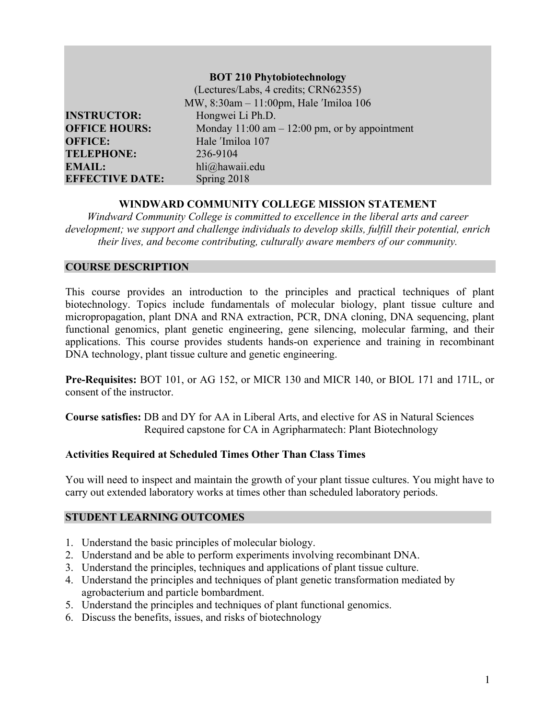|                        | <b>BOT 210 Phytobiotechnology</b>                |
|------------------------|--------------------------------------------------|
|                        | (Lectures/Labs, 4 credits; CRN62355)             |
|                        | MW, 8:30am - 11:00pm, Hale 'Imiloa 106           |
| <b>INSTRUCTOR:</b>     | Hongwei Li Ph.D.                                 |
| <b>OFFICE HOURS:</b>   | Monday $11:00$ am $-12:00$ pm, or by appointment |
| <b>OFFICE:</b>         | Hale 'Imiloa 107                                 |
| <b>TELEPHONE:</b>      | 236-9104                                         |
| <b>EMAIL:</b>          | hli@hawaii.edu                                   |
| <b>EFFECTIVE DATE:</b> | Spring 2018                                      |

#### **WINDWARD COMMUNITY COLLEGE MISSION STATEMENT**

*Windward Community College is committed to excellence in the liberal arts and career development; we support and challenge individuals to develop skills, fulfill their potential, enrich their lives, and become contributing, culturally aware members of our community.*

# **COURSE DESCRIPTION**

This course provides an introduction to the principles and practical techniques of plant biotechnology. Topics include fundamentals of molecular biology, plant tissue culture and micropropagation, plant DNA and RNA extraction, PCR, DNA cloning, DNA sequencing, plant functional genomics, plant genetic engineering, gene silencing, molecular farming, and their applications. This course provides students hands-on experience and training in recombinant DNA technology, plant tissue culture and genetic engineering.

**Pre-Requisites:** BOT 101, or AG 152, or MICR 130 and MICR 140, or BIOL 171 and 171L, or consent of the instructor.

**Course satisfies:** DB and DY for AA in Liberal Arts, and elective for AS in Natural Sciences Required capstone for CA in Agripharmatech: Plant Biotechnology

# **Activities Required at Scheduled Times Other Than Class Times**

You will need to inspect and maintain the growth of your plant tissue cultures. You might have to carry out extended laboratory works at times other than scheduled laboratory periods.

#### **STUDENT LEARNING OUTCOMES**

- 1. Understand the basic principles of molecular biology.
- 2. Understand and be able to perform experiments involving recombinant DNA.
- 3. Understand the principles, techniques and applications of plant tissue culture.
- 4. Understand the principles and techniques of plant genetic transformation mediated by agrobacterium and particle bombardment.
- 5. Understand the principles and techniques of plant functional genomics.
- 6. Discuss the benefits, issues, and risks of biotechnology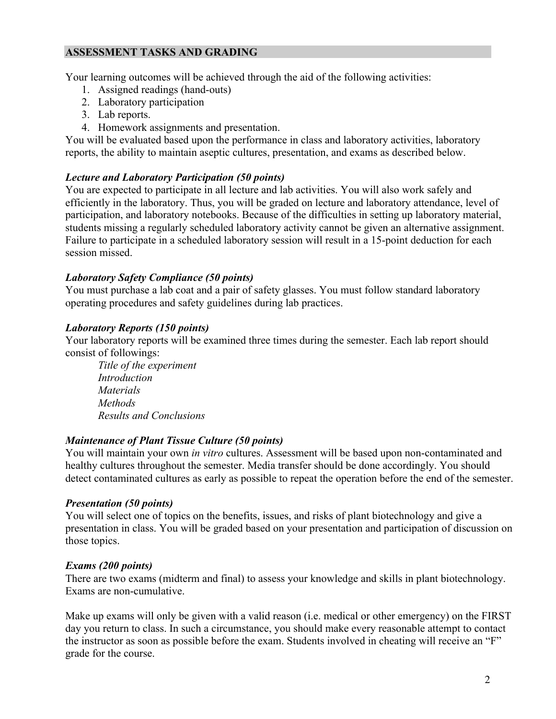# **ASSESSMENT TASKS AND GRADING**

Your learning outcomes will be achieved through the aid of the following activities:

- 1. Assigned readings (hand-outs)
- 2. Laboratory participation
- 3. Lab reports.
- 4. Homework assignments and presentation.

You will be evaluated based upon the performance in class and laboratory activities, laboratory reports, the ability to maintain aseptic cultures, presentation, and exams as described below.

### *Lecture and Laboratory Participation (50 points)*

You are expected to participate in all lecture and lab activities. You will also work safely and efficiently in the laboratory. Thus, you will be graded on lecture and laboratory attendance, level of participation, and laboratory notebooks. Because of the difficulties in setting up laboratory material, students missing a regularly scheduled laboratory activity cannot be given an alternative assignment. Failure to participate in a scheduled laboratory session will result in a 15-point deduction for each session missed.

### *Laboratory Safety Compliance (50 points)*

You must purchase a lab coat and a pair of safety glasses. You must follow standard laboratory operating procedures and safety guidelines during lab practices.

### *Laboratory Reports (150 points)*

Your laboratory reports will be examined three times during the semester. Each lab report should consist of followings:

*Title of the experiment Introduction Materials Methods Results and Conclusions*

# *Maintenance of Plant Tissue Culture (50 points)*

You will maintain your own *in vitro* cultures. Assessment will be based upon non-contaminated and healthy cultures throughout the semester. Media transfer should be done accordingly. You should detect contaminated cultures as early as possible to repeat the operation before the end of the semester.

#### *Presentation (50 points)*

You will select one of topics on the benefits, issues, and risks of plant biotechnology and give a presentation in class. You will be graded based on your presentation and participation of discussion on those topics.

# *Exams (200 points)*

There are two exams (midterm and final) to assess your knowledge and skills in plant biotechnology. Exams are non-cumulative.

Make up exams will only be given with a valid reason (i.e. medical or other emergency) on the FIRST day you return to class. In such a circumstance, you should make every reasonable attempt to contact the instructor as soon as possible before the exam. Students involved in cheating will receive an "F" grade for the course.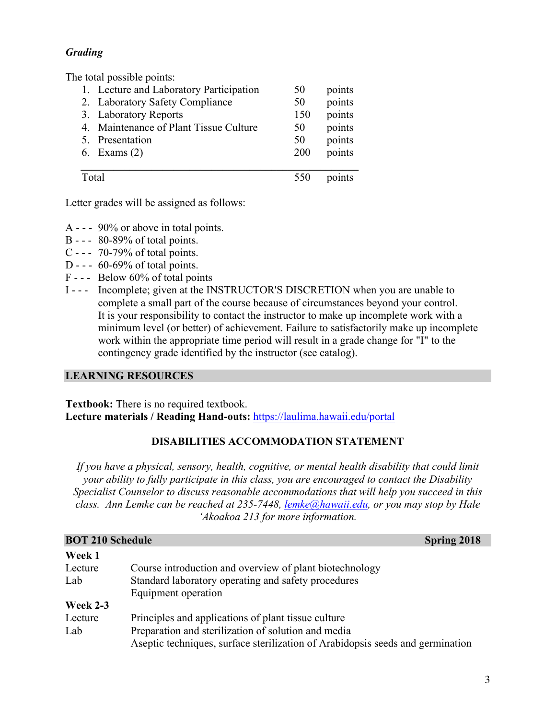# *Grading*

The total possible points:

| 4     | 1. Lecture and Laboratory Participation | 50  | points |
|-------|-----------------------------------------|-----|--------|
|       | 2. Laboratory Safety Compliance         | 50  | points |
|       | 3. Laboratory Reports                   | 150 | points |
|       | Maintenance of Plant Tissue Culture     | 50  | points |
|       | 5. Presentation                         | 50  | points |
|       | 6. Exams $(2)$                          | 200 | points |
| Total |                                         |     | points |

Letter grades will be assigned as follows:

- A - 90% or above in total points.
- B - 80-89% of total points.
- C - 70-79% of total points.
- D - 60-69% of total points.
- F - Below 60% of total points
- I - Incomplete; given at the INSTRUCTOR'S DISCRETION when you are unable to complete a small part of the course because of circumstances beyond your control. It is your responsibility to contact the instructor to make up incomplete work with a minimum level (or better) of achievement. Failure to satisfactorily make up incomplete work within the appropriate time period will result in a grade change for "I" to the contingency grade identified by the instructor (see catalog).

# **LEARNING RESOURCES**

**Textbook:** There is no required textbook. **Lecture materials / Reading Hand-outs:** https://laulima.hawaii.edu/portal

# **DISABILITIES ACCOMMODATION STATEMENT**

*If you have a physical, sensory, health, cognitive, or mental health disability that could limit your ability to fully participate in this class, you are encouraged to contact the Disability Specialist Counselor to discuss reasonable accommodations that will help you succeed in this class. Ann Lemke can be reached at 235-7448, lemke@hawaii.edu, or you may stop by Hale 'Akoakoa 213 for more information.*

| <b>BOT 210 Schedule</b> |                                                                                | <b>Spring 2018</b> |
|-------------------------|--------------------------------------------------------------------------------|--------------------|
| Week 1                  |                                                                                |                    |
| Lecture                 | Course introduction and overview of plant biotechnology                        |                    |
| Lab                     | Standard laboratory operating and safety procedures<br>Equipment operation     |                    |
| <b>Week 2-3</b>         |                                                                                |                    |
| Lecture                 | Principles and applications of plant tissue culture                            |                    |
| Lab                     | Preparation and sterilization of solution and media                            |                    |
|                         | Aseptic techniques, surface sterilization of Arabidopsis seeds and germination |                    |